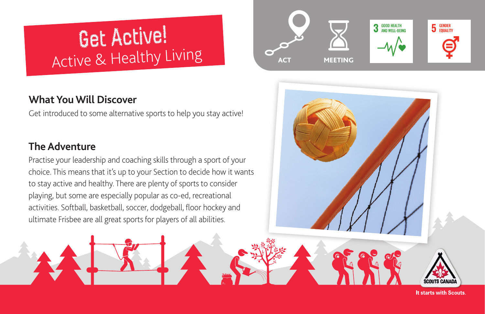# Get Active! Active & Healthy Living

# **What You Will Discover**

Get introduced to some alternative sports to help you stay active!

# **The Adventure**

Practise your leadership and coaching skills through a sport of your choice. This means that it's up to your Section to decide how it wants to stay active and healthy. There are plenty of sports to consider playing, but some are especially popular as co-ed, recreational activities. Softball, basketball, soccer, dodgeball, floor hockey and ultimate Frisbee are all great sports for players of all abilities.



**It starts with Scouts.**